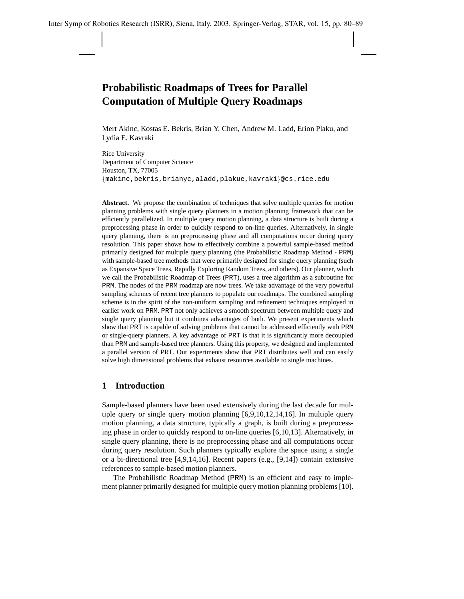# **Probabilistic Roadmaps of Trees for Parallel Computation of Multiple Query Roadmaps**

Mert Akinc, Kostas E. Bekris, Brian Y. Chen, Andrew M. Ladd, Erion Plaku, and Lydia E. Kavraki

Rice University Department of Computer Science Houston, TX, 77005 {makinc,bekris,brianyc,aladd,plakue,kavraki}@cs.rice.edu

**Abstract.** We propose the combination of techniques that solve multiple queries for motion planning problems with single query planners in a motion planning framework that can be efficiently parallelized. In multiple query motion planning, a data structure is built during a preprocessing phase in order to quickly respond to on-line queries. Alternatively, in single query planning, there is no preprocessing phase and all computations occur during query resolution. This paper shows how to effectively combine a powerful sample-based method primarily designed for multiple query planning (the Probabilistic Roadmap Method - PRM) with sample-based tree methods that were primarily designed for single query planning (such as Expansive Space Trees, Rapidly Exploring Random Trees, and others). Our planner, which we call the Probabilistic Roadmap of Trees (PRT), uses a tree algorithm as a subroutine for PRM. The nodes of the PRM roadmap are now trees. We take advantage of the very powerful sampling schemes of recent tree planners to populate our roadmaps. The combined sampling scheme is in the spirit of the non-uniform sampling and refinement techniques employed in earlier work on PRM. PRT not only achieves a smooth spectrum between multiple query and single query planning but it combines advantages of both. We present experiments which show that PRT is capable of solving problems that cannot be addressed efficiently with PRM or single-query planners. A key advantage of PRT is that it is significantly more decoupled than PRM and sample-based tree planners. Using this property, we designed and implemented a parallel version of PRT. Our experiments show that PRT distributes well and can easily solve high dimensional problems that exhaust resources available to single machines.

# **1 Introduction**

Sample-based planners have been used extensively during the last decade for multiple query or single query motion planning [6,9,10,12,14,16]. In multiple query motion planning, a data structure, typically a graph, is built during a preprocessing phase in order to quickly respond to on-line queries [6,10,13]. Alternatively, in single query planning, there is no preprocessing phase and all computations occur during query resolution. Such planners typically explore the space using a single or a bi-directional tree [4,9,14,16]. Recent papers (e.g., [9,14]) contain extensive references to sample-based motion planners.

The Probabilistic Roadmap Method (PRM) is an efficient and easy to implement planner primarily designed for multiple query motion planning problems [10].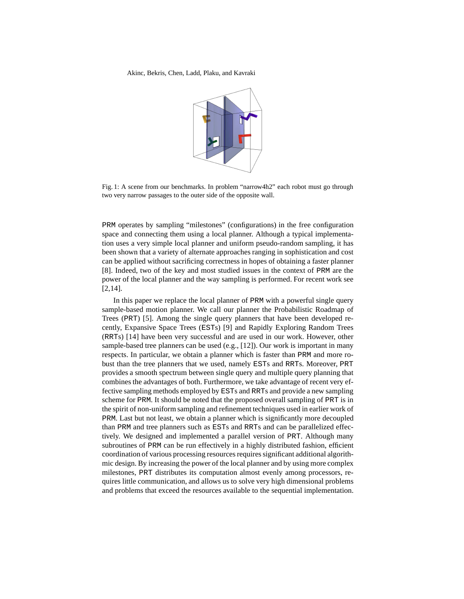

Fig. 1: A scene from our benchmarks. In problem "narrow4h2" each robot must go through two very narrow passages to the outer side of the opposite wall.

PRM operates by sampling "milestones" (configurations) in the free configuration space and connecting them using a local planner. Although a typical implementation uses a very simple local planner and uniform pseudo-random sampling, it has been shown that a variety of alternate approaches ranging in sophistication and cost can be applied without sacrificing correctness in hopes of obtaining a faster planner [8]. Indeed, two of the key and most studied issues in the context of PRM are the power of the local planner and the way sampling is performed. For recent work see [2,14].

In this paper we replace the local planner of PRM with a powerful single query sample-based motion planner. We call our planner the Probabilistic Roadmap of Trees (PRT) [5]. Among the single query planners that have been developed recently, Expansive Space Trees (ESTs) [9] and Rapidly Exploring Random Trees (RRTs) [14] have been very successful and are used in our work. However, other sample-based tree planners can be used (e.g., [12]). Our work is important in many respects. In particular, we obtain a planner which is faster than PRM and more robust than the tree planners that we used, namely ESTs and RRTs. Moreover, PRT provides a smooth spectrum between single query and multiple query planning that combines the advantages of both. Furthermore, we take advantage of recent very effective sampling methods employed by ESTs and RRTs and provide a new sampling scheme for PRM. It should be noted that the proposed overall sampling of PRT is in the spirit of non-uniform sampling and refinement techniques used in earlier work of PRM. Last but not least, we obtain a planner which is significantly more decoupled than PRM and tree planners such as ESTs and RRTs and can be parallelized effectively. We designed and implemented a parallel version of PRT. Although many subroutines of PRM can be run effectively in a highly distributed fashion, efficient coordination of various processing resources requires significant additional algorithmic design. By increasing the power of the local planner and by using more complex milestones, PRT distributes its computation almost evenly among processors, requires little communication, and allows us to solve very high dimensional problems and problems that exceed the resources available to the sequential implementation.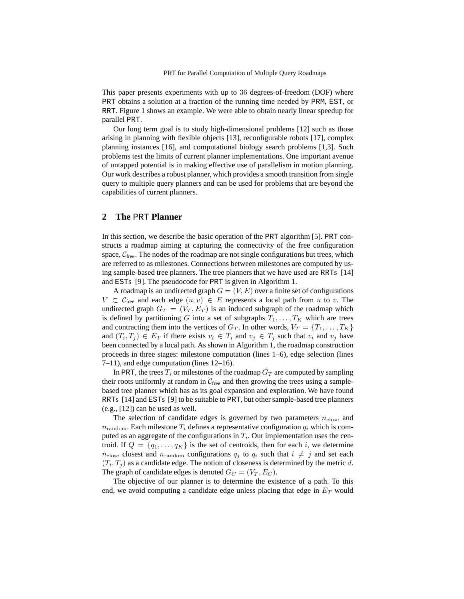This paper presents experiments with up to 36 degrees-of-freedom (DOF) where PRT obtains a solution at a fraction of the running time needed by PRM, EST, or RRT. Figure 1 shows an example. We were able to obtain nearly linear speedup for parallel PRT.

Our long term goal is to study high-dimensional problems [12] such as those arising in planning with flexible objects [13], reconfigurable robots [17], complex planning instances [16], and computational biology search problems [1,3]. Such problems test the limits of current planner implementations. One important avenue of untapped potential is in making effective use of parallelism in motion planning. Our work describes a robust planner, which provides a smooth transition from single query to multiple query planners and can be used for problems that are beyond the capabilities of current planners.

# **2 The** PRT **Planner**

In this section, we describe the basic operation of the PRT algorithm [5]. PRT constructs a roadmap aiming at capturing the connectivity of the free configuration space,  $C_{\text{free}}$ . The nodes of the roadmap are not single configurations but trees, which are referred to as milestones. Connections between milestones are computed by using sample-based tree planners. The tree planners that we have used are RRTs [14] and ESTs [9]. The pseudocode for PRT is given in Algorithm 1.

A roadmap is an undirected graph  $G = (V, E)$  over a finite set of configurations  $V \subset \mathcal{C}_{\text{free}}$  and each edge  $(u, v) \in E$  represents a local path from u to v. The undirected graph  $G_T = (V_T, E_T)$  is an induced subgraph of the roadmap which is defined by partitioning G into a set of subgraphs  $T_1, \ldots, T_K$  which are trees and contracting them into the vertices of  $G_T$ . In other words,  $V_T = \{T_1, \ldots, T_K\}$ and  $(T_i, T_j) \in E_T$  if there exists  $v_i \in T_i$  and  $v_j \in T_j$  such that  $v_i$  and  $v_j$  have been connected by a local path. As shown in Algorithm 1, the roadmap construction proceeds in three stages: milestone computation (lines 1–6), edge selection (lines 7–11), and edge computation (lines 12–16).

In PRT, the trees  $T_i$  or milestones of the roadmap  $G_T$  are computed by sampling their roots uniformly at random in  $C_{\text{free}}$  and then growing the trees using a samplebased tree planner which has as its goal expansion and exploration. We have found RRTs [14] and ESTs [9] to be suitable to PRT, but other sample-based tree planners (e.g., [12]) can be used as well.

The selection of candidate edges is governed by two parameters  $n_{\text{close}}$  and  $n_{\text{random}}$ . Each milestone  $T_i$  defines a representative configuration  $q_i$  which is computed as an aggregate of the configurations in  $T_i$ . Our implementation uses the centroid. If  $Q = \{q_1, \ldots, q_K\}$  is the set of centroids, then for each i, we determine  $n_{\text{close}}$  closest and  $n_{\text{random}}$  configurations  $q_i$  to  $q_i$  such that  $i \neq j$  and set each  $(T_i, T_j)$  as a candidate edge. The notion of closeness is determined by the metric d. The graph of candidate edges is denoted  $G_C = (V_T, E_C)$ .

The objective of our planner is to determine the existence of a path. To this end, we avoid computing a candidate edge unless placing that edge in  $E_T$  would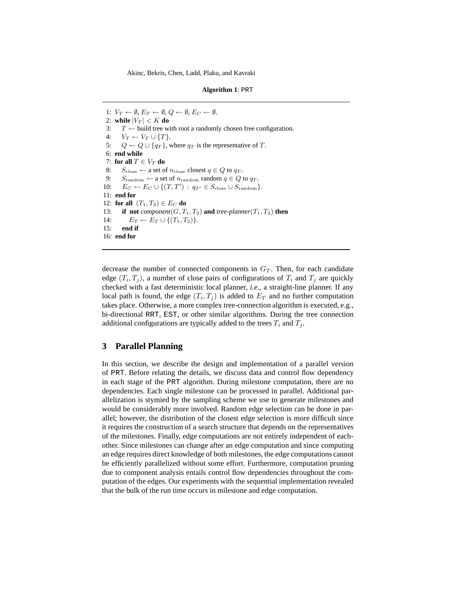1:  $V_T \leftarrow \emptyset$ ,  $E_T \leftarrow \emptyset$ ,  $Q \leftarrow \emptyset$ ,  $E_C \leftarrow \emptyset$ . 2: **while**  $|V_T| < K$  **do** 3:  $T \leftarrow$  build tree with root a randomly chosen free configuration. 4:  $V_T \leftarrow V_T \cup \{T\}.$ 5:  $Q \leftarrow Q \cup \{q_T\}$ , where  $q_T$  is the representative of T. 6: **end while** 7: **for all**  $T \in V_T$  **do** 8:  $S_{\text{close}} \leftarrow$  a set of  $n_{\text{close}}$  closest  $q \in Q$  to  $q_T$ . 9:  $S_{\text{random}} \leftarrow$  a set of  $n_{\text{random}}$  random  $q \in Q$  to  $q_T$ . 10:  $E_C \leftarrow E_C \cup \{(T, T') : q_{T'} \in S_{\text{close}} \cup S_{\text{random}}\}.$ 11: **end for** 12: **for all**  $(T_1, T_2) \in E_C$  **do** 13: **if not**  $component(G, T_1, T_2)$  and  $tree\text{-}planner(T_1, T_2)$  then 14:  $E_T \leftarrow E_T \cup \{(T_1, T_2)\}.$ 15: **end if** 16: **end for**

decrease the number of connected components in  $G_T$ . Then, for each candidate edge  $(T_i, T_j)$ , a number of close pairs of configurations of  $T_i$  and  $T_j$  are quickly checked with a fast deterministic local planner, *i.e.*, a straight-line planner. If any local path is found, the edge  $(T_i, T_j)$  is added to  $E_T$  and no further computation takes place. Otherwise, a more complex tree-connection algorithm is executed, e.g., bi-directional RRT, EST, or other similar algorithms. During the tree connection additional configurations are typically added to the trees  $T_i$  and  $T_j$ .

# **3 Parallel Planning**

In this section, we describe the design and implementation of a parallel version of PRT. Before relating the details, we discuss data and control flow dependency in each stage of the PRT algorithm. During milestone computation, there are no dependencies. Each single milestone can be processed in parallel. Additional parallelization is stymied by the sampling scheme we use to generate milestones and would be considerably more involved. Random edge selection can be done in parallel; however, the distribution of the closest edge selection is more difficult since it requires the construction of a search structure that depends on the representatives of the milestones. Finally, edge computations are not entirely independent of eachother. Since milestones can change after an edge computation and since computing an edge requires direct knowledge of both milestones, the edge computations cannot be efficiently parallelized without some effort. Furthermore, computation pruning due to component analysis entails control flow dependencies throughout the computation of the edges. Our experiments with the sequential implementation revealed that the bulk of the run time occurs in milestone and edge computation.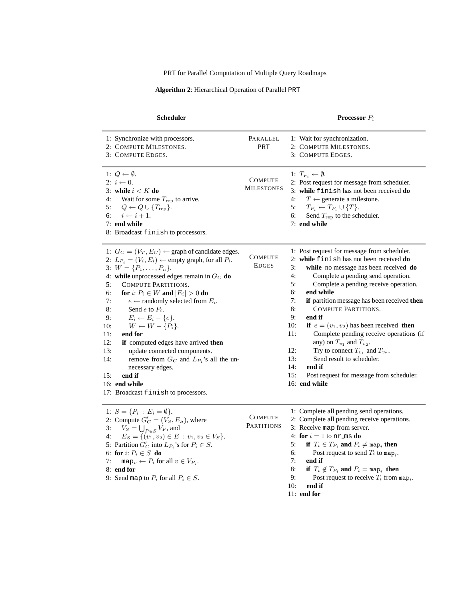PRT for Parallel Computation of Multiple Query Roadmaps

**Algorithm 2**: Hierarchical Operation of Parallel PRT

| <b>Scheduler</b>                                                                                                                                                                                                                                                                                                                                                                                                                                                                                                                                                                                                                                                                                                           | <b>Processor</b> $P_i$              |                                                                                                                                                                                                                                                                                                                                                                                                                                                                                                                                                                                                                                                                                |  |  |
|----------------------------------------------------------------------------------------------------------------------------------------------------------------------------------------------------------------------------------------------------------------------------------------------------------------------------------------------------------------------------------------------------------------------------------------------------------------------------------------------------------------------------------------------------------------------------------------------------------------------------------------------------------------------------------------------------------------------------|-------------------------------------|--------------------------------------------------------------------------------------------------------------------------------------------------------------------------------------------------------------------------------------------------------------------------------------------------------------------------------------------------------------------------------------------------------------------------------------------------------------------------------------------------------------------------------------------------------------------------------------------------------------------------------------------------------------------------------|--|--|
| 1: Synchronize with processors.<br>2: COMPUTE MILESTONES.<br>3: COMPUTE EDGES.                                                                                                                                                                                                                                                                                                                                                                                                                                                                                                                                                                                                                                             | PARALLEL<br>PRT                     | 1: Wait for synchronization.<br>2: COMPUTE MILESTONES.<br>3: COMPUTE EDGES.                                                                                                                                                                                                                                                                                                                                                                                                                                                                                                                                                                                                    |  |  |
| 1: $Q \leftarrow \emptyset$ .<br>2: $i \leftarrow 0$ .<br>3: while $i < K$ do<br>Wait for some $T_{\text{rep}}$ to arrive.<br>4:<br>5:<br>$Q \leftarrow Q \cup \{T_{\text{rep}}\}.$<br>$i \leftarrow i + 1.$<br>6:<br>7: end while<br>8: Broadcast finish to processors.                                                                                                                                                                                                                                                                                                                                                                                                                                                   | <b>COMPUTE</b><br><b>MILESTONES</b> | 1: $T_{P_i} \leftarrow \emptyset$ .<br>2: Post request for message from scheduler.<br>3: while finish has not been received do<br>$T \leftarrow$ generate a milestone.<br>4:<br>5:<br>$T_{P_i} \leftarrow T_{P_i} \cup \{T\}.$<br>6:<br>Send $T_{\text{rep}}$ to the scheduler.<br>7: end while                                                                                                                                                                                                                                                                                                                                                                                |  |  |
| 1: $G_C = (V_T, E_C) \leftarrow$ graph of candidate edges.<br>2: $L_{P_i} = (V_i, E_i) \leftarrow$ empty graph, for all $P_i$ .<br>3: $W = \{P_1, \ldots, P_n\}.$<br>4: while unprocessed edges remain in $G_C$ do<br>5:<br>COMPUTE PARTITIONS.<br>6:<br>for i: $P_i \in W$ and $ E_i  > 0$ do<br>7:<br>$e \leftarrow$ randomly selected from $E_i$ .<br>8:<br>Send e to $P_i$ .<br>9:<br>$E_i \leftarrow E_i - \{e\}.$<br>$W \leftarrow W - \{P_i\}.$<br>10:<br>11:<br>end for<br>12:<br>if computed edges have arrived then<br>13:<br>update connected components.<br>14:<br>remove from $G_C$ and $L_{P_i}$ 's all the un-<br>necessary edges.<br>15:<br>end if<br>16: end while<br>17: Broadcast finish to processors. | COMPUTE<br><b>EDGES</b>             | 1: Post request for message from scheduler.<br>2: while finish has not been received do<br>3:<br>while no message has been received do<br>4:<br>Complete a pending send operation.<br>5:<br>Complete a pending receive operation.<br>end while<br>6:<br>7:<br>if partition message has been received then<br>8:<br>COMPUTE PARTITIONS.<br>9:<br>end if<br>10:<br>if $e = (v_1, v_2)$ has been received then<br>11:<br>Complete pending receive operations (if<br>any) on $T_{v_1}$ and $T_{v_2}$ .<br>12:<br>Try to connect $T_{v_1}$ and $T_{v_2}$ .<br>Send result to scheduler.<br>13:<br>14:<br>end if<br>15:<br>Post request for message from scheduler.<br>16: end while |  |  |
| 1: $S = \{P_i : E_i = \emptyset\}.$<br>2: Compute $G'_{C} = (V_{S}, E_{S})$ , where<br>$V_S = \bigcup_{P \in S} V_P$ , and<br>3:<br>4:<br>$E_S = \{(v_1, v_2) \in E : v_1, v_2 \in V_S\}.$<br>5: Partition $G'_C$ into $L_{P_i}$ 's for $P_i \in S$ .<br>6: for $i: P_i \in S$ do<br>7:<br>map <sub>v</sub> $\leftarrow$ <i>P<sub>i</sub></i> for all $v \in V_{P_i}$ .<br>8: end for<br>9: Send map to $P_i$ for all $P_i \in S$ .                                                                                                                                                                                                                                                                                        | <b>COMPUTE</b><br><b>PARTITIONS</b> | 1: Complete all pending send operations.<br>2: Complete all pending receive operations.<br>3: Receive map from server.<br>4: for $i = 1$ to nr ms do<br>if $T_i \in T_{P_i}$ and $P_i \neq \text{map}_i$ then<br>5:<br>6:<br>Post request to send $T_i$ to map <sub>i</sub> .<br>7:<br>end if<br>8:<br>if $T_i \notin T_{P_i}$ and $P_i = \text{map}_i$ then<br>9:<br>Post request to receive $T_i$ from map <sub>i</sub> .<br>10:<br>end if<br>$11:$ end for                                                                                                                                                                                                                  |  |  |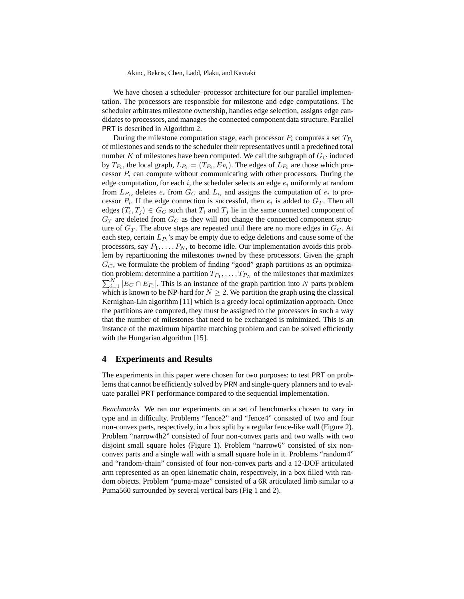We have chosen a scheduler–processor architecture for our parallel implementation. The processors are responsible for milestone and edge computations. The scheduler arbitrates milestone ownership, handles edge selection, assigns edge candidates to processors, and manages the connected component data structure. Parallel PRT is described in Algorithm 2.

During the milestone computation stage, each processor  $P_i$  computes a set  $T_{P_i}$ of milestones and sends to the scheduler their representatives until a predefined total number K of milestones have been computed. We call the subgraph of  $G_C$  induced by  $T_{P_i}$ , the local graph,  $L_{P_i} = (T_{P_i}, E_{P_i})$ . The edges of  $L_{P_i}$  are those which processor  $P_i$  can compute without communicating with other processors. During the edge computation, for each i, the scheduler selects an edge  $e_i$  uniformly at random from  $L_{P_i}$ , deletes  $e_i$  from  $G_C$  and  $L_i$ , and assigns the computation of  $e_i$  to processor  $P_i$ . If the edge connection is successful, then  $e_i$  is added to  $G_T$ . Then all edges  $(T_i, T_j) \in G_C$  such that  $T_i$  and  $T_j$  lie in the same connected component of  $G_T$  are deleted from  $G_C$  as they will not change the connected component structure of  $G_T$ . The above steps are repeated until there are no more edges in  $G_C$ . At each step, certain  $L_{P_i}$ 's may be empty due to edge deletions and cause some of the processors, say  $P_1, \ldots, P_N$ , to become idle. Our implementation avoids this problem by repartitioning the milestones owned by these processors. Given the graph  $G_C$ , we formulate the problem of finding "good" graph partitions as an optimization problem: determine a partition  $T_{P_1}, \ldots, T_{P_N}$  of the milestones that maximizes  $\sum_{i=1}^{N} |E_C \cap E_{P_i}|$ . This is an instance of the graph partition into N parts problem which is known to be NP-hard for  $N \geq 2$ . We partition the graph using the classical Kernighan-Lin algorithm [11] which is a greedy local optimization approach. Once the partitions are computed, they must be assigned to the processors in such a way that the number of milestones that need to be exchanged is minimized. This is an instance of the maximum bipartite matching problem and can be solved efficiently with the Hungarian algorithm [15].

## **4 Experiments and Results**

The experiments in this paper were chosen for two purposes: to test PRT on problems that cannot be efficiently solved by PRM and single-query planners and to evaluate parallel PRT performance compared to the sequential implementation.

*Benchmarks* We ran our experiments on a set of benchmarks chosen to vary in type and in difficulty. Problems "fence2" and "fence4" consisted of two and four non-convex parts, respectively, in a box split by a regular fence-like wall (Figure 2). Problem "narrow4h2" consisted of four non-convex parts and two walls with two disjoint small square holes (Figure 1). Problem "narrow6" consisted of six nonconvex parts and a single wall with a small square hole in it. Problems "random4" and "random-chain" consisted of four non-convex parts and a 12-DOF articulated arm represented as an open kinematic chain, respectively, in a box filled with random objects. Problem "puma-maze" consisted of a 6R articulated limb similar to a Puma560 surrounded by several vertical bars (Fig 1 and 2).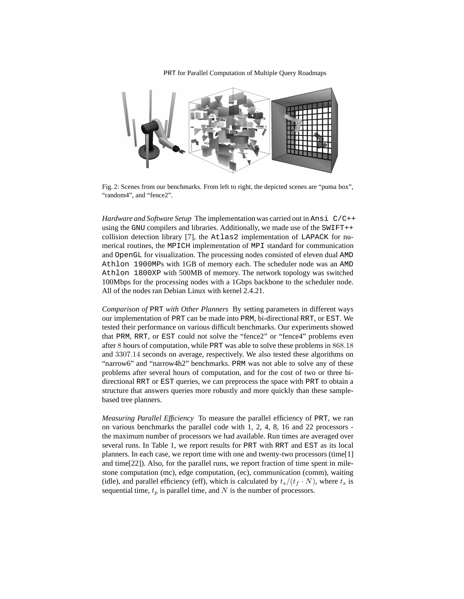PRT for Parallel Computation of Multiple Query Roadmaps



Fig. 2: Scenes from our benchmarks. From left to right, the depicted scenes are "puma box", "random4", and "fence2".

*Hardware and Software Setup* The implementation was carried out in Ansi C/C++ using the GNU compilers and libraries. Additionally, we made use of the SWIFT++ collision detection library [7], the Atlas2 implementation of LAPACK for numerical routines, the MPICH implementation of MPI standard for communication and OpenGL for visualization. The processing nodes consisted of eleven dual AMD Athlon 1900MPs with 1GB of memory each. The scheduler node was an AMD Athlon 1800XP with 500MB of memory. The network topology was switched 100Mbps for the processing nodes with a 1Gbps backbone to the scheduler node. All of the nodes ran Debian Linux with kernel 2.4.21.

*Comparison of* PRT *with Other Planners* By setting parameters in different ways our implementation of PRT can be made into PRM, bi-directional RRT, or EST. We tested their performance on various difficult benchmarks. Our experiments showed that PRM, RRT, or EST could not solve the "fence2" or "fence4" problems even after 8 hours of computation, while PRT was able to solve these problems in 868.18 and 3307.14 seconds on average, respectively. We also tested these algorithms on "narrow6" and "narrow4h2" benchmarks. PRM was not able to solve any of these problems after several hours of computation, and for the cost of two or three bidirectional RRT or EST queries, we can preprocess the space with PRT to obtain a structure that answers queries more robustly and more quickly than these samplebased tree planners.

*Measuring Parallel Efficiency* To measure the parallel efficiency of PRT, we ran on various benchmarks the parallel code with 1, 2, 4, 8, 16 and 22 processors the maximum number of processors we had available. Run times are averaged over several runs. In Table 1, we report results for PRT with RRT and EST as its local planners. In each case, we report time with one and twenty-two processors (time[1] and time[22]). Also, for the parallel runs, we report fraction of time spent in milestone computation (mc), edge computation, (ec), communication (comm), waiting (idle), and parallel efficiency (eff), which is calculated by  $t_s/(t_f \cdot N)$ , where  $t_s$  is sequential time,  $t_p$  is parallel time, and N is the number of processors.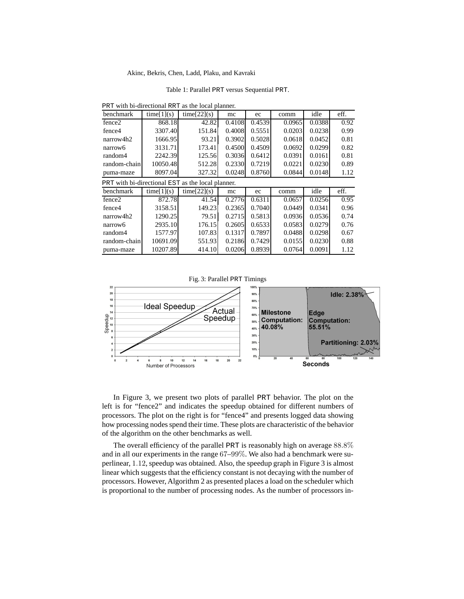Table 1: Parallel PRT versus Sequential PRT.

| PRT with bi-directional RRT as the local planner. |  |  |  |
|---------------------------------------------------|--|--|--|
|---------------------------------------------------|--|--|--|

| benchmark                                         | time[1](s) | time[22](s) | mc     | ec     | comm   | idle   | eff. |  |  |
|---------------------------------------------------|------------|-------------|--------|--------|--------|--------|------|--|--|
| fence <sub>2</sub>                                | 868.18     | 42.82       | 0.4108 | 0.4539 | 0.0965 | 0.0388 | 0.92 |  |  |
| fence4                                            | 3307.40    | 151.84      | 0.4008 | 0.5551 | 0.0203 | 0.0238 | 0.99 |  |  |
| narrow4h2                                         | 1666.95    | 93.21       | 0.3902 | 0.5028 | 0.0618 | 0.0452 | 0.81 |  |  |
| narrow6                                           | 3131.71    | 173.41      | 0.4500 | 0.4509 | 0.0692 | 0.0299 | 0.82 |  |  |
| random4                                           | 2242.39    | 125.56      | 0.3036 | 0.6412 | 0.0391 | 0.0161 | 0.81 |  |  |
| random-chain                                      | 10050.48   | 512.28      | 0.2330 | 0.7219 | 0.0221 | 0.0230 | 0.89 |  |  |
| puma-maze                                         | 8097.04    | 327.32      | 0.0248 | 0.8760 | 0.0844 | 0.0148 | 1.12 |  |  |
| PRT with bi-directional EST as the local planner. |            |             |        |        |        |        |      |  |  |
| benchmark                                         | time[1](s) | time[22](s) | mc     | ec     | comm   | idle   | eff. |  |  |
| fence <sub>2</sub>                                | 872.78     | 41.54       | 0.2776 | 0.6311 | 0.0657 | 0.0256 | 0.95 |  |  |
| fence4                                            | 3158.51    | 149.23      | 0.2365 | 0.7040 | 0.0449 | 0.0341 | 0.96 |  |  |
| narrow4h2                                         | 1290.25    | 79.51       | 0.2715 | 0.5813 | 0.0936 | 0.0536 | 0.74 |  |  |
| narrow6                                           | 2935.10    | 176.15      | 0.2605 | 0.6533 | 0.0583 | 0.0279 | 0.76 |  |  |
| random4                                           | 1577.97    | 107.83      | 0.1317 | 0.7897 | 0.0488 | 0.0298 | 0.67 |  |  |
| random-chain                                      | 10691.09   | 551.93      | 0.2186 | 0.7429 | 0.0155 | 0.0230 | 0.88 |  |  |
| puma-maze                                         | 10207.89   | 414.10      | 0.0206 | 0.8939 | 0.0764 | 0.0091 | 1.12 |  |  |



In Figure 3, we present two plots of parallel PRT behavior. The plot on the left is for "fence2" and indicates the speedup obtained for different numbers of processors. The plot on the right is for "fence4" and presents logged data showing how processing nodes spend their time. These plots are characteristic of the behavior of the algorithm on the other benchmarks as well.

The overall efficiency of the parallel PRT is reasonably high on average 88.8% and in all our experiments in the range 67–99%. We also had a benchmark were superlinear, 1.12, speedup was obtained. Also, the speedup graph in Figure 3 is almost linear which suggests that the efficiency constant is not decaying with the number of processors. However, Algorithm 2 as presented places a load on the scheduler which is proportional to the number of processing nodes. As the number of processors in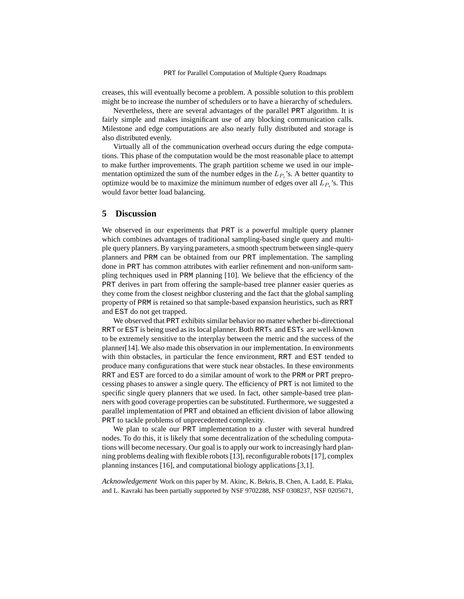creases, this will eventually become a problem. A possible solution to this problem might be to increase the number of schedulers or to have a hierarchy of schedulers.

Nevertheless, there are several advantages of the parallel PRT algorithm. It is fairly simple and makes insignificant use of any blocking communication calls. Milestone and edge computations are also nearly fully distributed and storage is also distributed evenly.

Virtually all of the communication overhead occurs during the edge computations. This phase of the computation would be the most reasonable place to attempt to make further improvements. The graph partition scheme we used in our implementation optimized the sum of the number edges in the  $L_{P_i}$ 's. A better quantity to optimize would be to maximize the minimum number of edges over all  $L_{P_i}$ 's. This would favor better load balancing.

## **5 Discussion**

We observed in our experiments that PRT is a powerful multiple query planner which combines advantages of traditional sampling-based single query and multiple query planners. By varying parameters, a smooth spectrum between single-query planners and PRM can be obtained from our PRT implementation. The sampling done in PRT has common attributes with earlier refinement and non-uniform sampling techniques used in PRM planning [10]. We believe that the efficiency of the PRT derives in part from offering the sample-based tree planner easier queries as they come from the closest neighbor clustering and the fact that the global sampling property of PRM is retained so that sample-based expansion heuristics, such as RRT and EST do not get trapped.

We observed that PRT exhibits similar behavior no matter whether bi-directional RRT or EST is being used as its local planner. Both RRTs and ESTs are well-known to be extremely sensitive to the interplay between the metric and the success of the planner[14]. We also made this observation in our implementation. In environments with thin obstacles, in particular the fence environment, RRT and EST tended to produce many configurations that were stuck near obstacles. In these environments RRT and EST are forced to do a similar amount of work to the PRM or PRT preprocessing phases to answer a single query. The efficiency of PRT is not limited to the specific single query planners that we used. In fact, other sample-based tree planners with good coverage properties can be substituted. Furthermore, we suggested a parallel implementation of PRT and obtained an efficient division of labor allowing PRT to tackle problems of unprecedented complexity.

We plan to scale our PRT implementation to a cluster with several hundred nodes. To do this, it is likely that some decentralization of the scheduling computations will become necessary. Our goal is to apply our work to increasingly hard planning problems dealing with flexible robots [13], reconfigurable robots [17], complex planning instances [16], and computational biology applications [3,1].

*Acknowledgement* Work on this paper by M. Akinc, K. Bekris, B. Chen, A. Ladd, E. Plaku, and L. Kavraki has been partially supported by NSF 9702288, NSF 0308237, NSF 0205671,